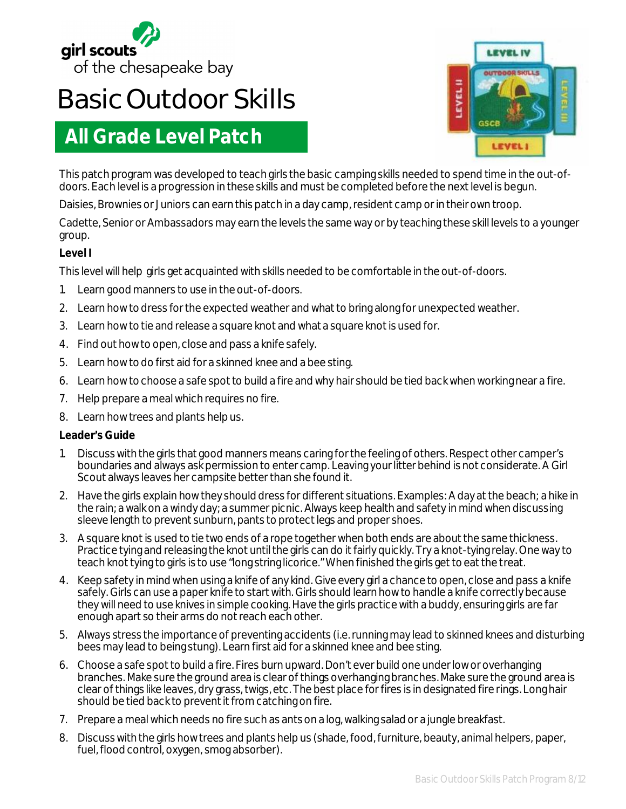

# **Basic Outdoor Skills**

# **All Grade Level Patch**



This patch program was developed to teach girls the basic camping skills needed to spend time in the out-ofdoors. Each level is a progression in these skills and must be completed before the next level is begun.

Daisies, Brownies or Juniors can earn this patch in a day camp, resident camp or in their own troop.

Cadette, Senior or Ambassadors may earn the levels the same way or by teaching these skill levels to a younger group.

## **Level I**

This level will help girls get acquainted with skills needed to be comfortable in the out-of-doors.

- 1. Learn good manners to use in the out-of-doors.
- 2. Learn how to dress for the expected weather and what to bring along for unexpected weather.
- 3. Learn how to tie and release a square knot and what a square knot is used for.
- 4. Find out how to open, close and pass a knife safely.
- 5. Learn how to do first aid for a skinned knee and a bee sting.
- 6. Learn how to choose a safe spot to build a fire and why hair should be tied back when working near a fire.
- 7. Help prepare a meal which requires no fire.
- 8. Learn how trees and plants help us.

- 1. Discuss with the girls that good manners means caring for the feeling of others. Respect other camper's boundaries and always ask permission to enter camp. Leaving your litter behind is not considerate. A Girl Scout always leaves her campsite better than she found it.
- 2. Have the girls explain how they should dress for different situations. Examples: A day at the beach; a hike in the rain; a walk on a windy day; a summer picnic. Always keep health and safety in mind when discussing sleeve length to prevent sunburn, pants to protect legs and proper shoes.
- 3. A square knot is used to tie two ends of a rope together when both ends are about the same thickness. Practice tying and releasing the knot until the girls can do it fairly quickly. Try a knot-tying relay. One way to teach knot tying to girls is to use "long string licorice." When finished the girls get to eat the treat.
- 4. Keep safety in mind when using a knife of any kind. Give every girl a chance to open, close and pass a knife safely. Girls can use a paper knife to start with. Girls should learn how to handle a knife correctly because they will need to use knives in simple cooking. Have the girls practice with a buddy, ensuring girls are far enough apart so their arms do not reach each other.
- 5. Always stress the importance of preventing accidents (i.e. running may lead to skinned knees and disturbing bees may lead to being stung). Learn first aid for a skinned knee and bee sting.
- 6. Choose a safe spot to build a fire. Fires burn upward. Don't ever build one under low or overhanging branches. Make sure the ground area is clear of things overhanging branches. Make sure the ground area is clear of things like leaves, dry grass, twigs, etc. The best place for fires is in designated fire rings. Long hair should be tied back to prevent it from catching on fire.
- 7. Prepare a meal which needs no fire such as ants on a log, walking salad or a jungle breakfast.
- 8. Discuss with the girls how trees and plants help us (shade, food, furniture, beauty, animal helpers, paper, fuel, flood control, oxygen, smog absorber).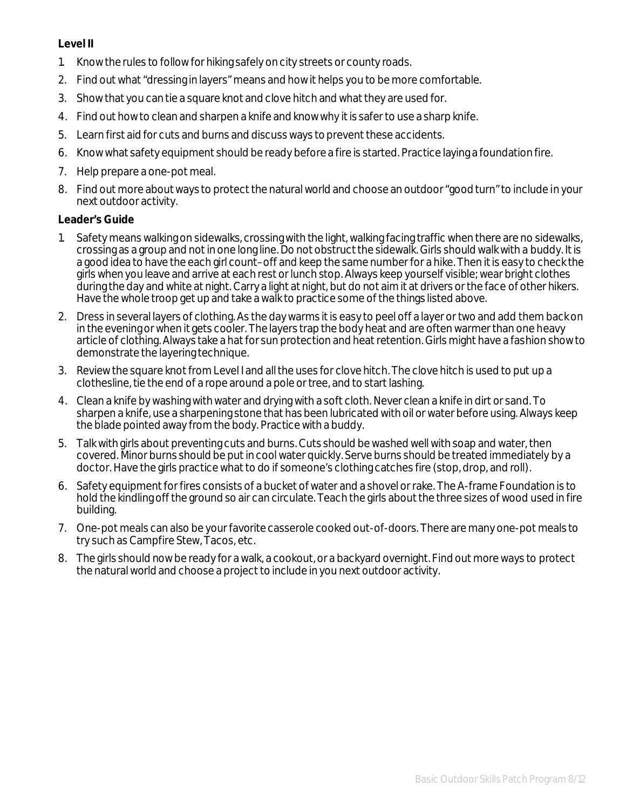#### **Level II**

- 1. Know the rules to follow for hiking safely on city streets or county roads.
- 2. Find out what "dressing in layers" means and how it helps you to be more comfortable.
- 3. Show that you can tie a square knot and clove hitch and what they are used for.
- 4. Find out how to clean and sharpen a knife and know why it is safer to use a sharp knife.
- 5. Learn first aid for cuts and burns and discuss ways to prevent these accidents.
- 6. Know what safety equipment should be ready before a fire is started. Practice laying a foundation fire.
- 7. Help prepare a one-pot meal.
- 8. Find out more about ways to protect the natural world and choose an outdoor "good turn" to include in your next outdoor activity.

- 1. Safety means walking on sidewalks, crossing with the light, walking facing traffic when there are no sidewalks, crossing as a group and not in one long line. Do not obstruct the sidewalk. Girls should walk with a buddy. It is a good idea to have the each girl count–off and keep the same number for a hike. Then it is easy to check the girls when you leave and arrive at each rest or lunch stop. Always keep yourself visible; wear bright clothes during the day and white at night. Carry a light at night, but do not aim it at drivers or the face of other hikers. Have the whole troop get up and take a walk to practice some of the things listed above.
- 2. Dress in several layers of clothing. As the day warms it is easy to peel off a layer or two and add them back on in the evening or when it gets cooler. The layers trap the body heat and are often warmer than one heavy article of clothing. Always take a hat for sun protection and heat retention. Girls might have a fashion show to demonstrate the layering technique.
- 3. Review the square knot from Level I and all the uses for clove hitch. The clove hitch is used to put up a clothesline, tie the end of a rope around a pole or tree, and to start lashing.
- 4. Clean a knife by washing with water and drying with a soft cloth. Never clean a knife in dirt or sand. To sharpen a knife, use a sharpening stone that has been lubricated with oil or water before using. Always keep the blade pointed away from the body. Practice with a buddy.
- 5. Talk with girls about preventing cuts and burns. Cuts should be washed well with soap and water, then covered. Minor burns should be put in cool water quickly. Serve burns should be treated immediately by a doctor. Have the girls practice what to do if someone's clothing catches fire (stop, drop, and roll).
- 6. Safety equipment for fires consists of a bucket of water and a shovel or rake. The A-frame Foundation is to hold the kindling off the ground so air can circulate. Teach the girls about the three sizes of wood used in fire building.
- 7. One-pot meals can also be your favorite casserole cooked out-of-doors. There are many one-pot meals to try such as Campfire Stew, Tacos, etc.
- 8. The girls should now be ready for a walk, a cookout, or a backyard overnight. Find out more ways to protect the natural world and choose a project to include in you next outdoor activity.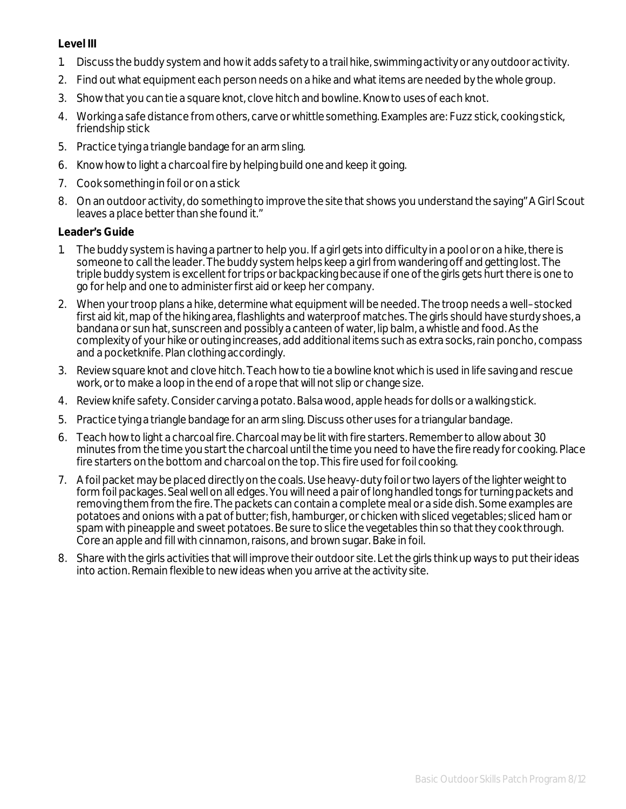#### **Level III**

- 1. Discuss the buddy system and how it adds safety to a trail hike, swimming activity or any outdoor activity.
- 2. Find out what equipment each person needs on a hike and what items are needed by the whole group.
- 3. Show that you can tie a square knot, clove hitch and bowline. Know to uses of each knot.
- 4. Working a safe distance from others, carve or whittle something. Examples are: Fuzz stick, cooking stick, friendship stick
- 5. Practice tying a triangle bandage for an arm sling.
- 6. Know how to light a charcoal fire by helping build one and keep it going.
- 7. Cook something in foil or on a stick
- 8. On an outdoor activity, do something to improve the site that shows you understand the saying" A Girl Scout leaves a place better than she found it."

- 1. The buddy system is having a partner to help you. If a girl gets into difficulty in a pool or on a hike, there is someone to call the leader. The buddy system helps keep a girl from wandering off and getting lost. The triple buddy system is excellent for trips or backpacking because if one of the girls gets hurt there is one to go for help and one to administer first aid or keep her company.
- 2. When your troop plans a hike, determine what equipment will be needed. The troop needs a well–stocked first aid kit, map of the hiking area, flashlights and waterproof matches. The girls should have sturdy shoes, a bandana or sun hat, sunscreen and possibly a canteen of water, lip balm, a whistle and food. As the complexity of your hike or outing increases, add additional items such as extra socks, rain poncho, compass and a pocketknife. Plan clothing accordingly.
- 3. Review square knot and clove hitch. Teach how to tie a bowline knot which is used in life saving and rescue work, or to make a loop in the end of a rope that will not slip or change size.
- 4. Review knife safety. Consider carving a potato. Balsa wood, apple heads for dolls or a walking stick.
- 5. Practice tying a triangle bandage for an arm sling. Discuss other uses for a triangular bandage.
- 6. Teach how to light a charcoal fire. Charcoal may be lit with fire starters. Remember to allow about 30 minutes from the time you start the charcoal until the time you need to have the fire ready for cooking. Place fire starters on the bottom and charcoal on the top. This fire used for foil cooking.
- 7. A foil packet may be placed directly on the coals. Use heavy-duty foil or two layers of the lighter weight to form foil packages. Seal well on all edges. You will need a pair of long handled tongs for turning packets and removing them from the fire. The packets can contain a complete meal or a side dish. Some examples are potatoes and onions with a pat of butter; fish, hamburger, or chicken with sliced vegetables; sliced ham or spam with pineapple and sweet potatoes. Be sure to slice the vegetables thin so that they cook through. Core an apple and fill with cinnamon, raisons, and brown sugar. Bake in foil.
- 8. Share with the girls activities that will improve their outdoor site. Let the girls think up ways to put their ideas into action. Remain flexible to new ideas when you arrive at the activity site.